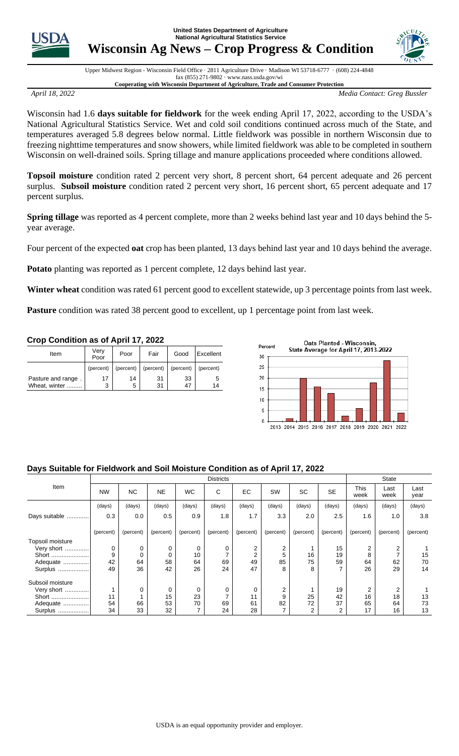**United States Department of Agriculture National Agricultural Statistics Service**



**Wisconsin Ag News – Crop Progress & Condition** 



Upper Midwest Region - Wisconsin Field Office · 2811 Agriculture Drive · Madison WI 53718-6777 · (608) 224-4848 fax (855) 271-9802 · www.nass.usda.gov/wi **Cooperating with Wisconsin Department of Agriculture, Trade and Consumer Protection**

*April 18, 2022 Media Contact: Greg Bussler*

Wisconsin had 1.6 **days suitable for fieldwork** for the week ending April 17, 2022, according to the USDA's National Agricultural Statistics Service. Wet and cold soil conditions continued across much of the State, and temperatures averaged 5.8 degrees below normal. Little fieldwork was possible in northern Wisconsin due to freezing nighttime temperatures and snow showers, while limited fieldwork was able to be completed in southern Wisconsin on well-drained soils. Spring tillage and manure applications proceeded where conditions allowed.

**Topsoil moisture** condition rated 2 percent very short, 8 percent short, 64 percent adequate and 26 percent surplus. **Subsoil moisture** condition rated 2 percent very short, 16 percent short, 65 percent adequate and 17 percent surplus.

**Spring tillage** was reported as 4 percent complete, more than 2 weeks behind last year and 10 days behind the 5 year average.

Four percent of the expected **oat** crop has been planted, 13 days behind last year and 10 days behind the average.

**Potato** planting was reported as 1 percent complete, 12 days behind last year.

**Winter wheat** condition was rated 61 percent good to excellent statewide, up 3 percentage points from last week.

Pasture condition was rated 38 percent good to excellent, up 1 percentage point from last week.

## **Crop Condition as of April 17, 2022**

| Item                                | Verv<br>Poor | Poor      | Fair      | Good      | Excellent |  |
|-------------------------------------|--------------|-----------|-----------|-----------|-----------|--|
|                                     | (percent)    | (percent) | (percent) | (percent) | (percent) |  |
| Pasture and range.<br>Wheat, winter | 17<br>3      | 14<br>5   | 31<br>31  | 33<br>47  | ა<br>14   |  |



## **Days Suitable for Fieldwork and Soil Moisture Condition as of April 17, 2022**

|                  | <b>Districts</b> |           |           |           |           |           |           |           | <b>State</b>   |              |              |              |
|------------------|------------------|-----------|-----------|-----------|-----------|-----------|-----------|-----------|----------------|--------------|--------------|--------------|
| Item             | <b>NW</b>        | <b>NC</b> | <b>NE</b> | <b>WC</b> | C         | EC        | SW        | <b>SC</b> | <b>SE</b>      | This<br>week | Last<br>week | Last<br>year |
|                  | (days)           | (days)    | (days)    | (days)    | (days)    | (days)    | (days)    | (days)    | (days)         | (days)       | (days)       | (days)       |
| Days suitable    | 0.3              | 0.0       | 0.5       | 0.9       | 1.8       | 1.7       | 3.3       | 2.0       | 2.5            | 1.6          | 1.0          | 3.8          |
|                  | (percent)        | (percent) | (percent) | (percent) | (percent) | (percent) | (percent) | (percent) | (percent)      | (percent)    | (percent)    | (percent)    |
| Topsoil moisture |                  |           |           |           |           |           |           |           |                |              |              |              |
| Very short       | 0                | 0         | 0         | 0         | 0         | 2         | 2         |           | 15             | 2            | 2            |              |
|                  | 9                |           | 0         | 10        |           | 2         | 5         | 16        | 19             | 8            |              | 15           |
| Adequate         | 42               | 64        | 58        | 64        | 69        | 49        | 85        | 75        | 59             | 64           | 62           | 70           |
| Surplus          | 49               | 36        | 42        | 26        | 24        | 47        | 8         | 8         | 7              | 26           | 29           | 14           |
| Subsoil moisture |                  |           |           |           |           |           |           |           |                |              |              |              |
| Very short       |                  |           | 0         | 0         | 0         | 0         | 2         |           | 19             | 2            | 2            |              |
| Short            | 11               |           | 15        | 23        | ⇁         | 11        | 9         | 25        | 42             | 16           | 18           | 13           |
| Adequate         | 54               | 66        | 53        | 70        | 69        | 61        | 82        | 72        | 37             | 65           | 64           | 73           |
| Surplus          | 34               | 33        | 32        | ⇁         | 24        | 28        |           | 2         | $\overline{2}$ | 17           | 16           | 13           |